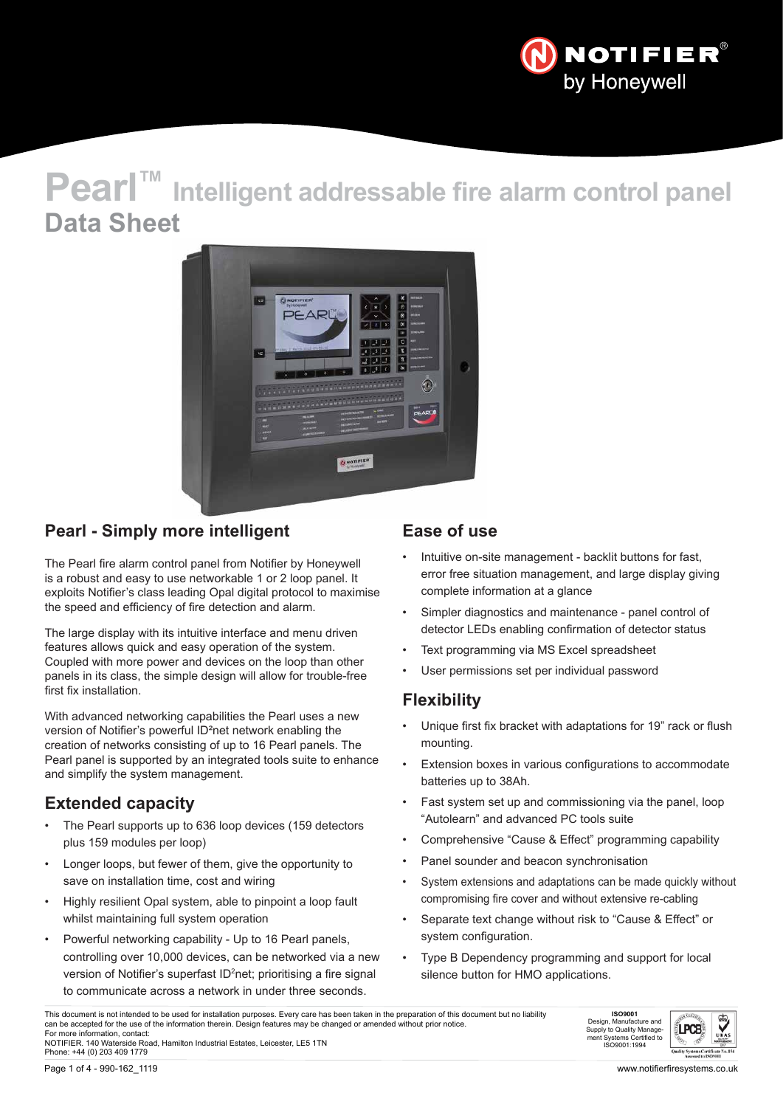

# **Pearl™ Intelligent addressable fire alarm control panel Data Sheet**



### **Pearl - Simply more intelligent**

The Pearl fire alarm control panel from Notifier by Honeywell is a robust and easy to use networkable 1 or 2 loop panel. It exploits Notifier's class leading Opal digital protocol to maximise the speed and efficiency of fire detection and alarm.

The large display with its intuitive interface and menu driven features allows quick and easy operation of the system. Coupled with more power and devices on the loop than other panels in its class, the simple design will allow for trouble-free first fix installation.

With advanced networking capabilities the Pearl uses a new version of Notifier's powerful ID²net network enabling the creation of networks consisting of up to 16 Pearl panels. The Pearl panel is supported by an integrated tools suite to enhance and simplify the system management.

### **Extended capacity**

- The Pearl supports up to 636 loop devices (159 detectors plus 159 modules per loop)
- Longer loops, but fewer of them, give the opportunity to save on installation time, cost and wiring
- Highly resilient Opal system, able to pinpoint a loop fault whilst maintaining full system operation
- Powerful networking capability Up to 16 Pearl panels, controlling over 10,000 devices, can be networked via a new version of Notifier's superfast ID<sup>2</sup>net; prioritising a fire signal to communicate across a network in under three seconds.

### **Ease of use**

- Intuitive on-site management backlit buttons for fast, error free situation management, and large display giving complete information at a glance
- Simpler diagnostics and maintenance panel control of detector LEDs enabling confirmation of detector status
- Text programming via MS Excel spreadsheet
- User permissions set per individual password

### **Flexibility**

- Unique first fix bracket with adaptations for 19" rack or flush mounting.
- Extension boxes in various configurations to accommodate batteries up to 38Ah.
- Fast system set up and commissioning via the panel, loop "Autolearn" and advanced PC tools suite
- Comprehensive "Cause & Effect" programming capability
- Panel sounder and beacon synchronisation
- System extensions and adaptations can be made quickly without compromising fire cover and without extensive re-cabling
- Separate text change without risk to "Cause & Effect" or system configuration.
- Type B Dependency programming and support for local silence button for HMO applications.

This document is not intended to be used for installation purposes. Every care has been taken in the preparation of this document but no liability can be accepted for the use of the information therein. Design features may be changed or amended without prior notice. For more information, contact: NOTIFIER. 140 Waterside Road, Hamilton Industrial Estates, Leicester, LE5 1TN Phone: +44 (0) 203 409 1779



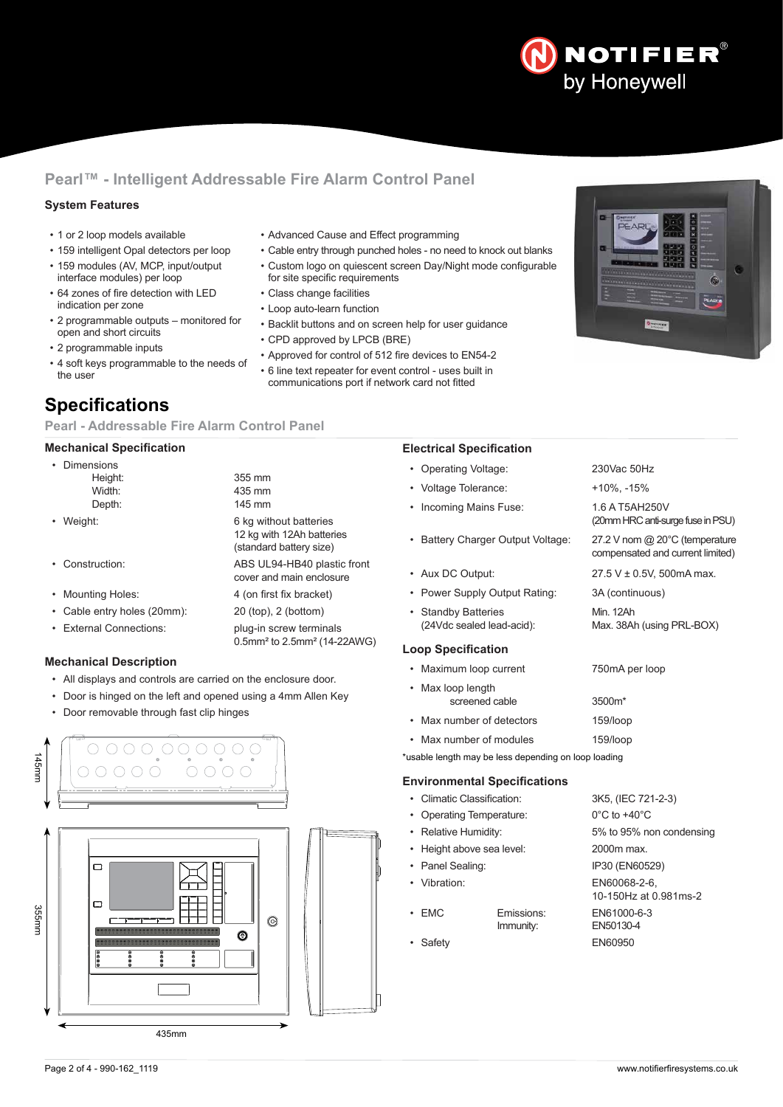## **NOTIFIER®** by Honeywell

### **Pearl™ - Intelligent Addressable Fire Alarm Control Panel**

#### **System Features**

- 1 or 2 loop models available
- 159 intelligent Opal detectors per loop
- 159 modules (AV, MCP, input/output interface modules) per loop
- 64 zones of fire detection with LED indication per zone
- 2 programmable outputs monitored for open and short circuits
- 2 programmable inputs
- 4 soft keys programmable to the needs of the user

### **Specifications**

#### **Pearl - Addressable Fire Alarm Control Panel**

#### **Mechanical Specification**

| Dimensions<br>Height:<br>Width:<br>Depth: | 355 mm<br>435 mm<br>145 mm                                                     |
|-------------------------------------------|--------------------------------------------------------------------------------|
| Weight:                                   | 6 kg without batteries<br>12 kg with 12Ah batteries<br>(standard battery size) |
| • Construction:                           | ABS UL94-HB40 plastic front<br>cover and main enclosure                        |
| • Mounting Holes:                         | 4 (on first fix bracket)                                                       |
| Cable entry holes (20mm):                 | 20 (top), 2 (bottom)                                                           |
| <b>External Connections:</b>              | plug-in screw terminals<br>0.5mm <sup>2</sup> to 2.5mm <sup>2</sup> (14-22AWG) |

#### **Mechanical Description**

- All displays and controls are carried on the enclosure door.
- Door is hinged on the left and opened using a 4mm Allen Key
- Door removable through fast clip hinges



- Advanced Cause and Effect programming
- Cable entry through punched holes no need to knock out blanks • Custom logo on quiescent screen Day/Night mode configurable
- for site specific requirements
- Class change facilities
- Loop auto-learn function
- Backlit buttons and on screen help for user guidance
- CPD approved by LPCB (BRE)
- Approved for control of 512 fire devices to EN54-2 • 6 line text repeater for event control - uses built in
- communications port if network card not fitted

#### **Electrical Specification**

- Operating Voltage: 230Vac 50Hz
- Voltage Tolerance:  $+10\%$ , -15%
- Incoming Mains Fuse: 1.6 A T5AH250V
- Battery Charger Output Voltage: 27.2 V nom @ 20°C (temperature
- Aux DC Output:  $27.5 \text{ V} \pm 0.5 \text{ V}$ , 500mA max.
- Power Supply Output Rating: 3A (continuous)
- Standby Batteries<br>
(24Vdc sealed lead-acid): Max. 38A

#### **Loop Specification**

- Maximum loop current 750mA per loop
- Max loop length screened cable 3500m\*
- Max number of detectors 159/loop
- Max number of modules 159/loop
- \*usable length may be less depending on loop loading

#### **Environmental Specifications**

- Climatic Classification: 3K5, (IEC 721-2-3)
- Operating Temperature: 0°C to +40°C
- 
- Height above sea level: 2000m max.
- Panel Sealing: IP30 (EN60529)
- 
- EMC Emissions: EN61000-6-3
- 

• Relative Humidity: 5% to 95% non condensing • Vibration: EN60068-2-6, 10-150Hz at 0.981ms-2 EN50130-4 • Safety EN60950



(20mm HRC anti-surge fuse in PSU)

compensated and current limited)

Max. 38Ah (using PRL-BOX)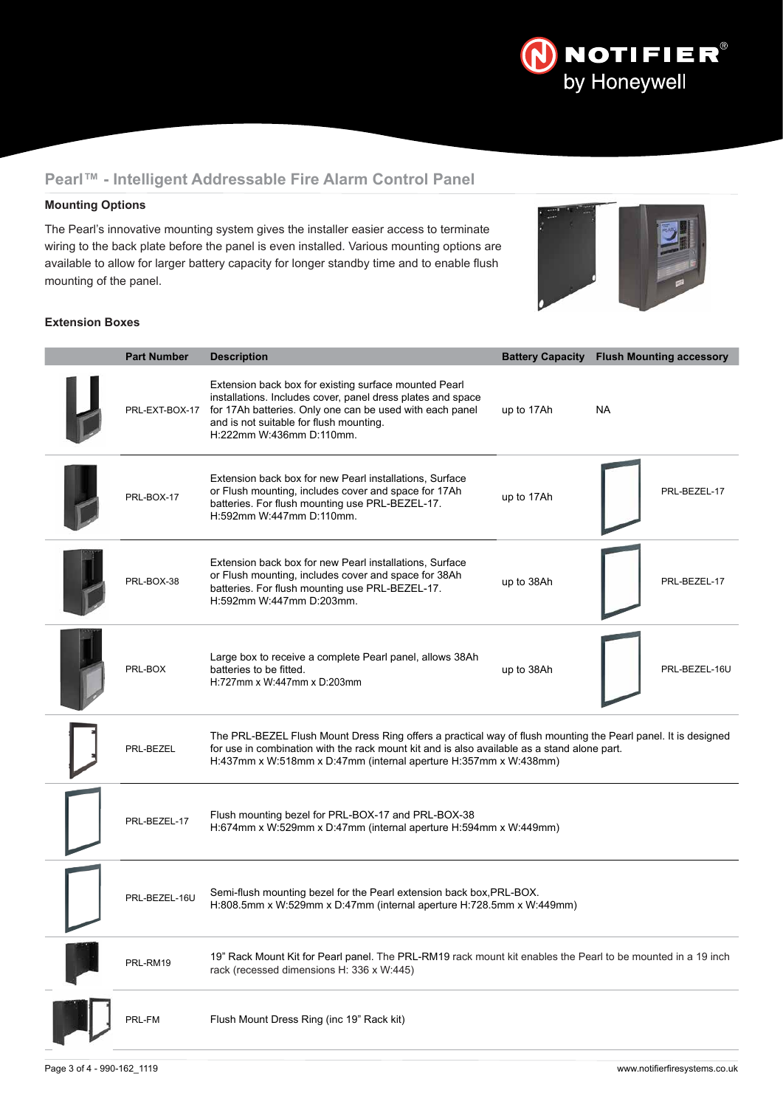

### **Pearl™ - Intelligent Addressable Fire Alarm Control Panel**

#### **Mounting Options**

The Pearl's innovative mounting system gives the installer easier access to terminate wiring to the back plate before the panel is even installed. Various mounting options are available to allow for larger battery capacity for longer standby time and to enable flush mounting of the panel.



#### **Extension Boxes**

| <b>Part Number</b> | <b>Description</b>                                                                                                                                                                                                                                                               |            | <b>Battery Capacity Flush Mounting accessory</b> |
|--------------------|----------------------------------------------------------------------------------------------------------------------------------------------------------------------------------------------------------------------------------------------------------------------------------|------------|--------------------------------------------------|
|                    | Extension back box for existing surface mounted Pearl<br>installations. Includes cover, panel dress plates and space<br>PRL-EXT-BOX-17 for 17Ah batteries. Only one can be used with each panel<br>and is not suitable for flush mounting.<br>H:222mm W:436mm D:110mm.           | up to 17Ah | <b>NA</b>                                        |
| PRL-BOX-17         | Extension back box for new Pearl installations, Surface<br>or Flush mounting, includes cover and space for 17Ah<br>batteries. For flush mounting use PRL-BEZEL-17.<br>H:592mm W:447mm D:110mm.                                                                                   | up to 17Ah | PRL-BEZEL-17                                     |
| PRL-BOX-38         | Extension back box for new Pearl installations, Surface<br>or Flush mounting, includes cover and space for 38Ah<br>batteries. For flush mounting use PRL-BEZEL-17.<br>H:592mm W:447mm D:203mm.                                                                                   | up to 38Ah | PRL-BEZEL-17                                     |
| PRL-BOX            | Large box to receive a complete Pearl panel, allows 38Ah<br>batteries to be fitted.<br>H:727mm x W:447mm x D:203mm                                                                                                                                                               | up to 38Ah | PRL-BEZEL-16U                                    |
| PRL-BEZEL          | The PRL-BEZEL Flush Mount Dress Ring offers a practical way of flush mounting the Pearl panel. It is designed<br>for use in combination with the rack mount kit and is also available as a stand alone part.<br>H:437mm x W:518mm x D:47mm (internal aperture H:357mm x W:438mm) |            |                                                  |
| PRL-BEZEL-17       | Flush mounting bezel for PRL-BOX-17 and PRL-BOX-38<br>H:674mm x W:529mm x D:47mm (internal aperture H:594mm x W:449mm)                                                                                                                                                           |            |                                                  |
| PRL-BEZEL-16U      | Semi-flush mounting bezel for the Pearl extension back box, PRL-BOX.<br>H:808.5mm x W:529mm x D:47mm (internal aperture H:728.5mm x W:449mm)                                                                                                                                     |            |                                                  |
| PRL-RM19           | 19" Rack Mount Kit for Pearl panel. The PRL-RM19 rack mount kit enables the Pearl to be mounted in a 19 inch<br>rack (recessed dimensions H: 336 x W:445)                                                                                                                        |            |                                                  |
| PRL-FM             | Flush Mount Dress Ring (inc 19" Rack kit)                                                                                                                                                                                                                                        |            |                                                  |